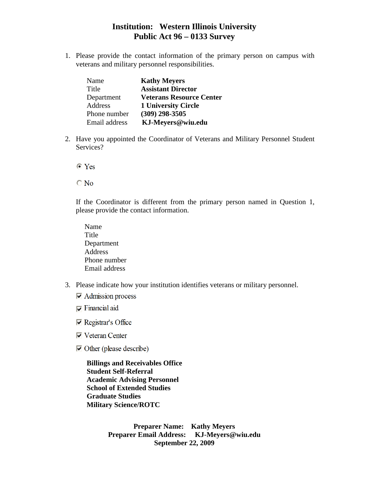1. Please provide the contact information of the primary person on campus with veterans and military personnel responsibilities.

| Name          | <b>Kathy Meyers</b>             |
|---------------|---------------------------------|
| Title         | <b>Assistant Director</b>       |
| Department    | <b>Veterans Resource Center</b> |
| Address       | <b>1 University Circle</b>      |
| Phone number  | $(309)$ 298-3505                |
| Email address | KJ-Meyers@wiu.edu               |

2. Have you appointed the Coordinator of Veterans and Military Personnel Student Services?

 $\bullet$  Yes

 $\bigcirc$  No

If the Coordinator is different from the primary person named in Question 1, please provide the contact information.

- Name Title Department Address Phone number Email address
- 3. Please indicate how your institution identifies veterans or military personnel.
	- $\overline{\triangledown}$  Admission process
	- $\nabla$  Financial aid
	- $\nabla$  Registrar's Office
	- $\overline{\triangledown}$  Veteran Center
	- $\triangleright$  Other (please describe)

**Billings and Receivables Office Student Self-Referral Academic Advising Personnel School of Extended Studies Graduate Studies Military Science/ROTC**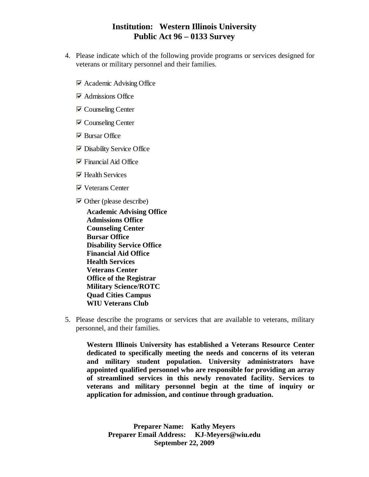- 4. Please indicate which of the following provide programs or services designed for veterans or military personnel and their families.
	- Academic Advising Office
	- **Admissions Office**
	- **V** Counseling Center
	- **V** Counseling Center
	- $\blacktriangleright$  Bursar Office
	- **Disability Service Office**
	- $\triangleright$  Financial Aid Office
	- $\triangleright$  Health Services
	- Veterans Center
	- $\triangleright$  Other (please describe)

**Academic Advising Office Admissions Office Counseling Center Bursar Office Disability Service Office Financial Aid Office Health Services Veterans Center Office of the Registrar Military Science/ROTC Quad Cities Campus WIU Veterans Club**

5. Please describe the programs or services that are available to veterans, military personnel, and their families.

**Western Illinois University has established a Veterans Resource Center dedicated to specifically meeting the needs and concerns of its veteran and military student population. University administrators have appointed qualified personnel who are responsible for providing an array of streamlined services in this newly renovated facility. Services to veterans and military personnel begin at the time of inquiry or application for admission, and continue through graduation.**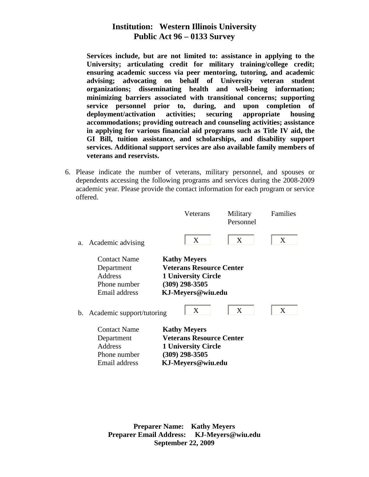**Services include, but are not limited to: assistance in applying to the University; articulating credit for military training/college credit; ensuring academic success via peer mentoring, tutoring, and academic advising; advocating on behalf of University veteran student organizations; disseminating health and well-being information; minimizing barriers associated with transitional concerns; supporting service personnel prior to, during, and upon completion of deployment/activation activities; securing appropriate housing accommodations; providing outreach and counseling activities; assistance in applying for various financial aid programs such as Title IV aid, the GI Bill, tuition assistance, and scholarships, and disability support services. Additional support services are also available family members of veterans and reservists.**

6. Please indicate the number of veterans, military personnel, and spouses or dependents accessing the following programs and services during the 2008-2009 academic year. Please provide the contact information for each program or service offered.

|    |                                                                                      | Veterans                                                                                                                      | Military<br>Personnel | Families |
|----|--------------------------------------------------------------------------------------|-------------------------------------------------------------------------------------------------------------------------------|-----------------------|----------|
| а. | Academic advising                                                                    | X                                                                                                                             | X                     | X        |
|    | <b>Contact Name</b><br>Department<br>Address<br>Phone number<br>Email address        | <b>Kathy Meyers</b><br><b>Veterans Resource Center</b><br><b>1 University Circle</b><br>$(309)$ 298-3505<br>KJ-Meyers@wiu.edu |                       |          |
| b. | Academic support/tutoring                                                            | X                                                                                                                             | X                     | X        |
|    | <b>Contact Name</b><br>Department<br><b>Address</b><br>Phone number<br>Email address | <b>Kathy Meyers</b><br><b>Veterans Resource Center</b><br><b>1 University Circle</b><br>$(309)$ 298-3505<br>KJ-Meyers@wiu.edu |                       |          |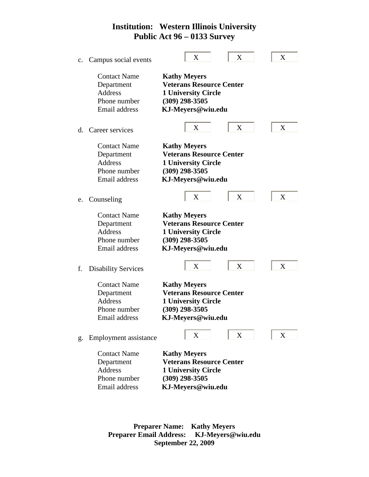| $\mathbf{c}$ . | Campus social events                                                                 | X                                                                                                                             | X | X |
|----------------|--------------------------------------------------------------------------------------|-------------------------------------------------------------------------------------------------------------------------------|---|---|
|                | <b>Contact Name</b><br>Department<br><b>Address</b><br>Phone number<br>Email address | <b>Kathy Meyers</b><br><b>Veterans Resource Center</b><br><b>1 University Circle</b><br>$(309)$ 298-3505<br>KJ-Meyers@wiu.edu |   |   |
| d.             | Career services                                                                      | X                                                                                                                             | X | X |
|                | <b>Contact Name</b><br>Department<br>Address<br>Phone number<br>Email address        | <b>Kathy Meyers</b><br><b>Veterans Resource Center</b><br><b>1 University Circle</b><br>$(309)$ 298-3505<br>KJ-Meyers@wiu.edu |   |   |
| e.             | Counseling                                                                           | X                                                                                                                             | X | X |
|                | <b>Contact Name</b><br>Department<br><b>Address</b><br>Phone number<br>Email address | <b>Kathy Meyers</b><br><b>Veterans Resource Center</b><br><b>1 University Circle</b><br>$(309)$ 298-3505<br>KJ-Meyers@wiu.edu |   |   |
| f.             | <b>Disability Services</b>                                                           | X                                                                                                                             | X | X |
|                | <b>Contact Name</b><br>Department<br>Address<br>Phone number<br>Email address        | <b>Kathy Meyers</b><br><b>Veterans Resource Center</b><br><b>1 University Circle</b><br>$(309)$ 298-3505<br>KJ-Meyers@wiu.edu |   |   |
| g.             | Employment assistance                                                                | X                                                                                                                             | X | X |
|                | <b>Contact Name</b><br>Department<br>Address<br>Phone number<br>Email address        | <b>Kathy Meyers</b><br><b>Veterans Resource Center</b><br><b>1 University Circle</b><br>$(309)$ 298-3505<br>KJ-Meyers@wiu.edu |   |   |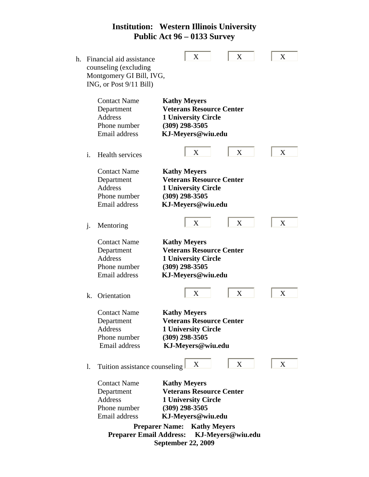| h. |                | Financial aid assistance<br>counseling (excluding<br>Montgomery GI Bill, IVG,<br>ING, or Post 9/11 Bill)        | X<br>X                                                                                                                                                                                                                          | X |
|----|----------------|-----------------------------------------------------------------------------------------------------------------|---------------------------------------------------------------------------------------------------------------------------------------------------------------------------------------------------------------------------------|---|
|    |                | <b>Contact Name</b><br>Department<br>Address<br>Phone number<br>Email address                                   | <b>Kathy Meyers</b><br><b>Veterans Resource Center</b><br><b>1 University Circle</b><br>$(309)$ 298-3505<br>KJ-Meyers@wiu.edu                                                                                                   |   |
|    | i.             | Health services                                                                                                 | X<br>X                                                                                                                                                                                                                          | X |
|    |                | <b>Contact Name</b><br>Department<br><b>Address</b><br>Phone number<br>Email address                            | <b>Kathy Meyers</b><br><b>Veterans Resource Center</b><br><b>1 University Circle</b><br>$(309)$ 298-3505<br>KJ-Meyers@wiu.edu                                                                                                   |   |
|    | $\mathbf{j}$ . | Mentoring                                                                                                       | X<br>X                                                                                                                                                                                                                          | X |
|    |                | <b>Contact Name</b><br>Department<br>Address<br>Phone number<br>Email address                                   | <b>Kathy Meyers</b><br><b>Veterans Resource Center</b><br><b>1 University Circle</b><br>$(309)$ 298-3505<br>KJ-Meyers@wiu.edu                                                                                                   |   |
|    | k.             | Orientation                                                                                                     | X<br>X                                                                                                                                                                                                                          | X |
|    |                | <b>Contact Name</b><br>Department<br>Address<br>Phone number<br>Email address                                   | <b>Kathy Meyers</b><br><b>Veterans Resource Center</b><br><b>1 University Circle</b><br>$(309)$ 298-3505<br>KJ-Meyers@wiu.edu                                                                                                   |   |
|    | 1.             | Tuition assistance counseling                                                                                   | X<br>X                                                                                                                                                                                                                          | X |
|    |                | <b>Contact Name</b><br>Department<br>Address<br>Phone number<br>Email address<br><b>Preparer Email Address:</b> | <b>Kathy Meyers</b><br><b>Veterans Resource Center</b><br><b>1 University Circle</b><br>$(309)$ 298-3505<br>KJ-Meyers@wiu.edu<br><b>Preparer Name:</b><br><b>Kathy Meyers</b><br>KJ-Meyers@wiu.edu<br><b>September 22, 2009</b> |   |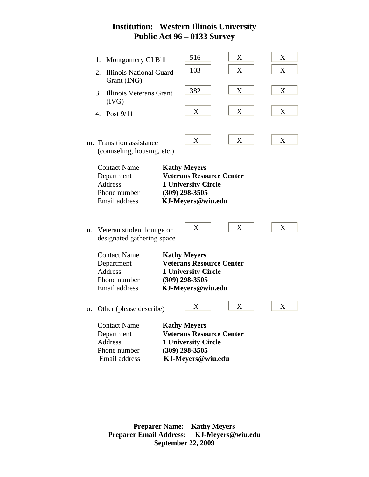L.

|    | 1.             | Montgomery GI Bill                                                                   | 516                                                                                                                           | X | X |
|----|----------------|--------------------------------------------------------------------------------------|-------------------------------------------------------------------------------------------------------------------------------|---|---|
|    | 2.             | <b>Illinois National Guard</b><br>Grant (ING)                                        | 103                                                                                                                           | X | X |
|    | 3.             | Illinois Veterans Grant<br>(IVG)                                                     | 382                                                                                                                           | X | X |
|    | $\mathbf{4}$ . | Post $9/11$                                                                          | X                                                                                                                             | X | X |
|    |                | m. Transition assistance<br>(counseling, housing, etc.)                              | $\boldsymbol{X}$                                                                                                              | X | X |
|    |                | <b>Contact Name</b><br>Department<br><b>Address</b><br>Phone number<br>Email address | <b>Kathy Meyers</b><br><b>Veterans Resource Center</b><br><b>1 University Circle</b><br>$(309)$ 298-3505<br>KJ-Meyers@wiu.edu |   |   |
| n. |                | Veteran student lounge or<br>designated gathering space                              | X                                                                                                                             | X | X |
|    |                | <b>Contact Name</b><br>Department<br><b>Address</b><br>Phone number<br>Email address | <b>Kathy Meyers</b><br><b>Veterans Resource Center</b><br><b>1 University Circle</b><br>$(309)$ 298-3505<br>KJ-Meyers@wiu.edu |   |   |
| 0. |                | Other (please describe)                                                              | X                                                                                                                             | X | X |
|    |                | <b>Contact Name</b><br>Department<br><b>Address</b><br>Phone number<br>Email address | <b>Kathy Meyers</b><br><b>Veterans Resource Center</b><br><b>1 University Circle</b><br>$(309)$ 298-3505<br>KJ-Meyers@wiu.edu |   |   |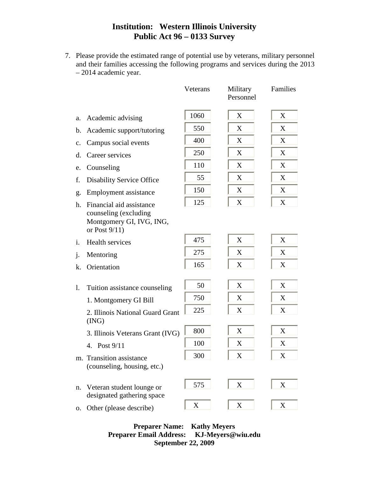7. Please provide the estimated range of potential use by veterans, military personnel and their families accessing the following programs and services during the 2013 – 2014 academic year.

|    |                                                                                            | Veterans         | Military<br>Personnel | Families    |
|----|--------------------------------------------------------------------------------------------|------------------|-----------------------|-------------|
| a. | Academic advising                                                                          | 1060             | X                     | X           |
| b. | Academic support/tutoring                                                                  | 550              | X                     | X           |
| c. | Campus social events                                                                       | 400              | X                     | X           |
| d. | Career services                                                                            | 250              | X                     | X           |
| e. | Counseling                                                                                 | 110              | X                     | X           |
| f. | <b>Disability Service Office</b>                                                           | 55               | X                     | X           |
| g. | Employment assistance                                                                      | 150              | X                     | X           |
| h. | Financial aid assistance                                                                   | 125              | X                     | X           |
|    | counseling (excluding<br>Montgomery GI, IVG, ING,<br>or Post $9/11$ )                      |                  |                       |             |
| i. | Health services                                                                            | 475              | X                     | X           |
| j. | Mentoring                                                                                  | 275              | X                     | X           |
| k. | Orientation                                                                                | 165              | X                     | X           |
| 1. | Tuition assistance counseling<br>1. Montgomery GI Bill<br>2. Illinois National Guard Grant | 50<br>750<br>225 | X<br>X<br>X           | X<br>X<br>X |
|    | (ING)                                                                                      |                  |                       |             |
|    | 3. Illinois Veterans Grant (IVG)                                                           | 800              | X                     | X           |
|    | Post 9/11<br>4.                                                                            | 100              | X                     | X           |
|    | m. Transition assistance<br>(counseling, housing, etc.)                                    | 300              | X                     | X           |
| n. | Veteran student lounge or<br>designated gathering space                                    | 575              | X                     | $\mathbf X$ |
| 0. | Other (please describe)                                                                    | X                | X                     | X           |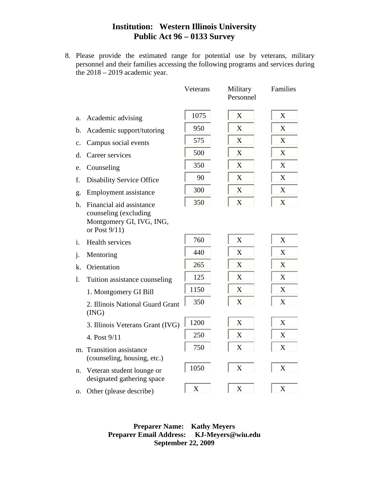8. Please provide the estimated range for potential use by veterans, military personnel and their families accessing the following programs and services during the 2018 – 2019 academic year.

|                |                                                                       | Veterans | Military<br>Personnel | Families                  |
|----------------|-----------------------------------------------------------------------|----------|-----------------------|---------------------------|
| a.             | Academic advising                                                     | 1075     | X                     | X                         |
| b.             | Academic support/tutoring                                             | 950      | $\boldsymbol{X}$      | X                         |
| $\mathbf{C}$ . | Campus social events                                                  | 575      | X                     | X                         |
| d.             | Career services                                                       | 500      | X                     | X                         |
| e.             | Counseling                                                            | 350      | X                     | X                         |
| f.             | <b>Disability Service Office</b>                                      | 90       | X                     | X                         |
| g.             | Employment assistance                                                 | 300      | X                     | X                         |
| h.             | Financial aid assistance                                              | 350      | X                     | $\boldsymbol{\mathrm{X}}$ |
|                | counseling (excluding<br>Montgomery GI, IVG, ING,<br>or Post $9/11$ ) |          |                       |                           |
| i.             | <b>Health services</b>                                                | 760      | X                     | X                         |
| $\dot{J}$ .    | Mentoring                                                             | 440      | X                     | X                         |
| k.             | Orientation                                                           | 265      | X                     | X                         |
| $\mathbf{l}$ . | Tuition assistance counseling                                         | 125      | X                     | X                         |
|                | 1. Montgomery GI Bill                                                 | 1150     | X                     | X                         |
|                | 2. Illinois National Guard Grant<br>(ING)                             | 350      | X                     | X                         |
|                | 3. Illinois Veterans Grant (IVG)                                      | 1200     | X                     | X                         |
|                | 4. Post 9/11                                                          | 250      | X                     | X                         |
| m.             | <b>Transition assistance</b><br>(counseling, housing, etc.)           | 750      | X                     | X                         |
| n.             | Veteran student lounge or<br>designated gathering space               | 1050     | X                     | X                         |
| 0.             | Other (please describe)                                               | X        | X                     | X                         |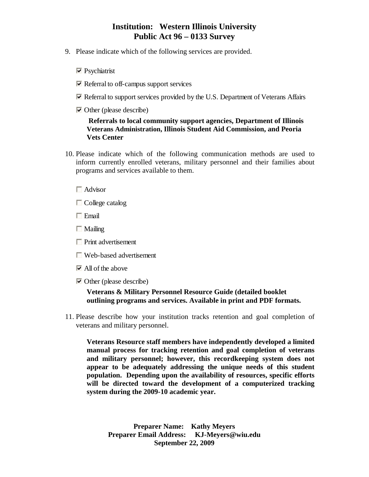- 9. Please indicate which of the following services are provided.
	- **Psychiatrist**
	- $\triangleright$  Referral to off-campus support services
	- $\overline{\triangledown}$  Referral to support services provided by the U.S. Department of Veterans Affairs
	- $\triangleright$  Other (please describe)

### **Referrals to local community support agencies, Department of Illinois Veterans Administration, Illinois Student Aid Commission, and Peoria Vets Center**

10. Please indicate which of the following communication methods are used to inform currently enrolled veterans, military personnel and their families about programs and services available to them.

#### **Advisor**

- **College** catalog
- **Email**
- **Mailing**
- **Print advertisement**
- **Web-based advertisement**
- $\blacktriangleright$  All of the above
- $\triangleright$  Other (please describe)

### **Veterans & Military Personnel Resource Guide (detailed booklet outlining programs and services. Available in print and PDF formats.**

11. Please describe how your institution tracks retention and goal completion of veterans and military personnel.

**Veterans Resource staff members have independently developed a limited manual process for tracking retention and goal completion of veterans and military personnel; however, this recordkeeping system does not appear to be adequately addressing the unique needs of this student population. Depending upon the availability of resources, specific efforts will be directed toward the development of a computerized tracking system during the 2009-10 academic year.**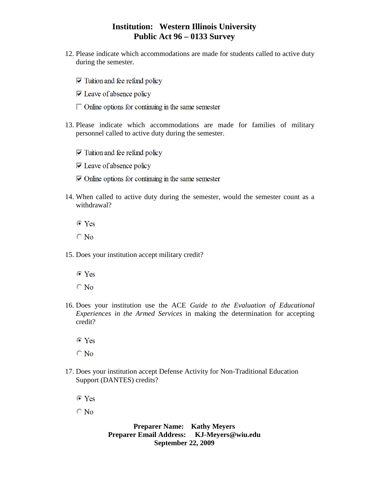- 12. Please indicate which accommodations are made for students called to active duty during the semester.
	- $\triangledown$  Tuition and fee refund policy
	- $\triangleright$  Leave of absence policy
	- $\Box$  Online options for continuing in the same semester
- 13. Please indicate which accommodations are made for families of military personnel called to active duty during the semester.
	- $\triangledown$  Tuition and fee refund policy
	- $\triangleright$  Leave of absence policy
	- $\triangleright$  Online options for continuing in the same semester
- 14. When called to active duty during the semester, would the semester count as a withdrawal?
	- $\bullet$  Yes
	- $\bigcirc$  No
- 15. Does your institution accept military credit?
	- $\bullet$  Yes
	- $\overline{O}$  No
- 16. Does your institution use the ACE *Guide to the Evaluation of Educational Experiences in the Armed Services* in making the determination for accepting credit?
	- $\bullet$  Yes
	- $\bigcirc$  No
- 17. Does your institution accept Defense Activity for Non-Traditional Education Support (DANTES) credits?
	- $\bullet$  Yes

 $\bigcirc$  No